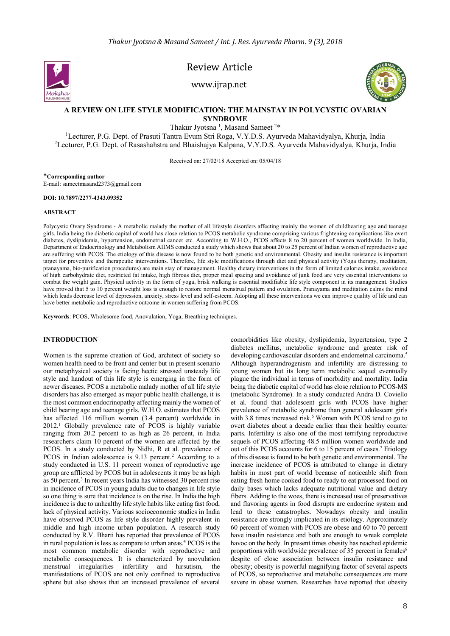

 Review Article

www.ijrap.net



## **A REVIEW ON LIFE STYLE MODIFICATION: THE MAINSTAY IN POLYCYSTIC OVARIAN SYNDROME**

Thakur Jyotsna<sup>1</sup>, Masand Sameet<sup>2\*</sup>

<sup>1</sup>Lecturer, P.G. Dept. of Prasuti Tantra Evum Stri Roga, V.Y.D.S. Ayurveda Mahavidyalya, Khurja, India <sup>2</sup>Lecturer, P.G. Dept. of Rasashahstra and Bhaishajya Kalpana, V.Y.D.S. Ayurveda Mahavidyalya, Khurja, India

Received on: 27/02/18 Accepted on: 05/04/18

\***Corresponding author** E-mail: sameetmasand2373@gmail.com

### **DOI: 10.7897/2277-4343.09352**

#### **ABSTRACT**

Polycystic Ovary Syndrome - A metabolic malady the mother of all lifestyle disorders affecting mainly the women of childbearing age and teenage girls. India being the diabetic capital of world has close relation to PCOS metabolic syndrome comprising various frightening complications like overt diabetes, dyslipidemia, hypertension, endometrial cancer etc. According to W.H.O., PCOS affects 8 to 20 percent of women worldwide. In India, Department of Endocrinology and Metabolism AIIMS conducted a study which shows that about 20 to 25 percent of Indian women of reproductive age are suffering with PCOS. The etiology of this disease is now found to be both genetic and environmental. Obesity and insulin resistance is important target for preventive and therapeutic interventions. Therefore, life style modifications through diet and physical activity (Yoga therapy, meditation, pranayama, bio-purification procedures) are main stay of management. Healthy dietary interventions in the form of limited calories intake, avoidance of high carbohydrate diet, restricted fat intake, high fibrous diet, proper meal spacing and avoidance of junk food are very essential interventions to combat the weight gain. Physical activity in the form of yoga, brisk walking is essential modifiable life style component in its management. Studies have proved that 5 to 10 percent weight loss is enough to restore normal menstrual pattern and ovulation. Pranayama and meditation calms the mind which leads decrease level of depression, anxiety, stress level and self-esteem. Adopting all these interventions we can improve quality of life and can have better metabolic and reproductive outcome in women suffering from PCOS.

**Keywords**: PCOS, Wholesome food, Anovulation, Yoga, Breathing techniques.

### **INTRODUCTION**

Women is the supreme creation of God, architect of society so women health need to be front and center but in present scenario our metaphysical society is facing hectic stressed unsteady life style and handout of this life style is emerging in the form of newer diseases. PCOS a metabolic malady mother of all life style disorders has also emerged as major public health challenge, it is the most common endocrinopathy affecting mainly the women of child bearing age and teenage girls. W.H.O. estimates that PCOS has affected 116 million women (3.4 percent) worldwide in 2012. <sup>1</sup> Globally prevalence rate of PCOS is highly variable ranging from 20.2 percent to as high as 26 percent, in India researchers claim 10 percent of the women are affected by the PCOS. In a study conducted by Nidhi, R et al. prevalence of PCOS in Indian adolescence is 9.13 percent. <sup>2</sup> According to a study conducted in U.S. 11 percent women of reproductive age group are afflicted by PCOS but in adolescents it may be as high as 50 percent. <sup>3</sup> In recent years India has witnessed 30 percent rise in incidence of PCOS in young adults due to changes in life style so one thing is sure that incidence is on the rise. In India the high incidence is due to unhealthy life style habits like eating fast food, lack of physical activity. Various socioeconomic studies in India have observed PCOS as life style disorder highly prevalent in middle and high income urban population. A research study conducted by R.V. Bharti has reported that prevalence of PCOS in rural population is less as compare to urban areas. <sup>4</sup> PCOS isthe most common metabolic disorder with reproductive and metabolic consequences. It is characterized by anovulation menstrual irregularities infertility and hirsutism, the manifestations of PCOS are not only confined to reproductive sphere but also shows that an increased prevalence of several comorbidities like obesity, dyslipidemia, hypertension, type 2 diabetes mellitus, metabolic syndrome and greater risk of developing cardiovascular disorders and endometrial carcinoma.<sup>5</sup> Although hyperandrogenism and infertility are distressing to young women but its long term metabolic sequel eventually plague the individual in terms of morbidity and mortality. India being the diabetic capital of world has close relation to PCOS-MS (metabolic Syndrome). In a study conducted Andra D. Coviello et al. found that adolescent girls with PCOS have higher prevalence of metabolic syndrome than general adolescent girls with 3.8 times increased risk. <sup>6</sup> Women with PCOS tend to go to overt diabetes about a decade earlier than their healthy counter parts. Infertility is also one of the most terrifying reproductive sequels of PCOS affecting 48.5 million women worldwide and out of this PCOS accounts for 6 to 15 percent of cases. <sup>7</sup> Etiology of this disease is found to be both genetic and environmental. The increase incidence of PCOS is attributed to change in dietary habits in most part of world because of noticeable shift from eating fresh home cooked food to ready to eat processed food on daily bases which lacks adequate nutritional value and dietary fibers. Adding to the woes, there is increased use of preservatives and flavoring agents in food disrupts are endocrine system and lead to these catastrophes. Nowadays obesity and insulin resistance are strongly implicated in its etiology. Approximately 60 percent of women with PCOS are obese and 60 to 70 percent have insulin resistance and both are enough to wreak complete havoc on the body. In present times obesity has reached epidemic proportions with worldwide prevalence of 35 percent in females<sup>8</sup> despite of close association between insulin resistance and obesity; obesity is powerful magnifying factor of several aspects of PCOS, so reproductive and metabolic consequences are more severe in obese women. Researches have reported that obesity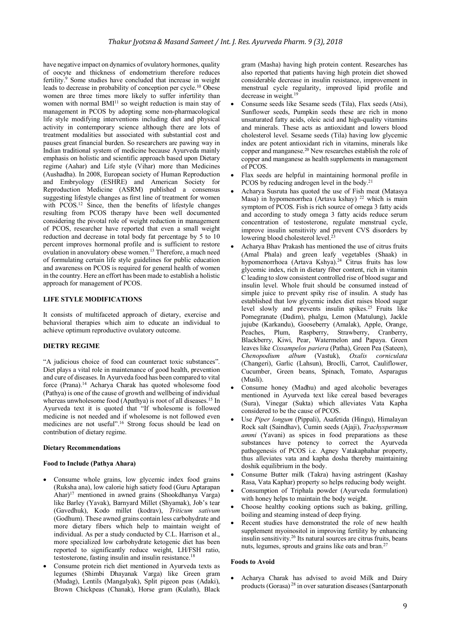have negative impact on dynamics of ovulatory hormones, quality of oocyte and thickness of endometrium therefore reduces fertility. <sup>9</sup> Some studies have concluded that increase in weight leads to decrease in probability of conception per cycle. <sup>10</sup> Obese women are three times more likely to suffer infertility than women with normal BMI<sup>11</sup> so weight reduction is main stay of management in PCOS by adopting some non-pharmacological life style modifying interventions including diet and physical activity in contemporary science although there are lots of treatment modalities but associated with substantial cost and pauses great financial burden. So researchers are pawing way in Indian traditional system of medicine because Ayurveda mainly emphasis on holistic and scientific approach based upon Dietary regime (Aahar) and Life style (Vihar) more than Medicines (Aushadha). In 2008, European society of Human Reproduction and Embryology (ESHRE) and American Society for Reproduction Medicine (ASRM) published a consensus suggesting lifestyle changes as first line of treatment for women with PCOS. <sup>12</sup> Since, then the benefits of lifestyle changes resulting from PCOS therapy have been well documented considering the pivotal role of weight reduction in management of PCOS, researcher have reported that even a small weight reduction and decrease in total body fat percentage by 5 to 10 percent improves hormonal profile and is sufficient to restore ovulation in anovulatory obese women. <sup>13</sup> Therefore, a much need of formulating certain life style guidelines for public education and awareness on PCOS is required for general health of women in the country. Here an effort has been made to establish a holistic approach for management of PCOS.

## **LIFE STYLE MODIFICATIONS**

It consists of multifaceted approach of dietary, exercise and behavioral therapies which aim to educate an individual to achieve optimum reproductive ovulatory outcome.

## **DIETRY REGIME**

"A judicious choice of food can counteract toxic substances". Diet plays a vital role in maintenance of good health, prevention and cure of diseases. In Ayurveda food has been compared to vital force (Prana). <sup>14</sup> Acharya Charak has quoted wholesome food (Pathya) is one of the cause of growth and wellbeing of individual whereas unwholesome food (Apathya) is root of all diseases.<sup>15</sup> In Ayurveda text it is quoted that "If wholesome is followed medicine is not needed and if wholesome is not followed even medicines are not useful". <sup>16</sup> Strong focus should be lead on contribution of dietary regime.

### **Dietary Recommendations**

### **Food to Include (Pathya Ahara)**

- Consume whole grains, low glycemic index food grains (Ruksha ana), low calorie high satiety food (Guru Aptarapan Ahar)17 mentioned in awned grains (Shookdhanya Varga) like Barley (Yavak), Barnyard Millet (Shyamak), Job's tear (Gavedhuk), Kodo millet (kodrav), *Triticum sativum* (Godhum). These awned grains contain less carbohydrate and more dietary fibers which help to maintain weight of individual. As per a study conducted by C.L. Harrison et al., more specialized low carbohydrate ketogenic diet has been reported to significantly reduce weight, LH/FSH ratio, testosterone, fasting insulin and insulin resistance. 18
- Consume protein rich diet mentioned in Ayurveda texts as legumes (Shimbi Dhayanak Varga) like Green gram (Mudag), Lentils (Mangalyak), Split pigeon peas (Adaki), Brown Chickpeas (Chanak), Horse gram (Kulath), Black

gram (Masha) having high protein content. Researches has also reported that patients having high protein diet showed considerable decrease in insulin resistance, improvement in menstrual cycle regularity, improved lipid profile and decrease in weight. 19

- Consume seeds like Sesame seeds (Tila), Flax seeds (Atsi), Sunflower seeds, Pumpkin seeds these are rich in mono unsaturated fatty acids, oleic acid and high-quality vitamins and minerals. These acts as antioxidant and lowers blood cholesterol level. Sesame seeds (Tila) having low glycemic index are potent antioxidant rich in vitamins, minerals like copper and manganese. <sup>20</sup> New researches establish the role of copper and manganese as health supplements in management of PCOS.
- Flax seeds are helpful in maintaining hormonal profile in PCOS by reducing androgen level in the body.<sup>21</sup>
- Acharya Susruta has quoted the use of Fish meat (Matasya Masa) in hypomenorrhea (Artava kshay)  $^{22}$  which is main symptom of PCOS. Fish is rich source of omega 3 fatty acids and according to study omega 3 fatty acids reduce serum concentration of testosterone, regulate menstrual cycle, improve insulin sensitivity and prevent CVS disorders by lowering blood cholesterol level.<sup>2</sup>
- Acharya Bhav Prakash has mentioned the use of citrus fruits (Amal Phala) and green leafy vegetables (Shaak) in hypomenorrhoea (Artava Kshya). <sup>24</sup> Citrus fruits has low glycemic index, rich in dietary fiber content, rich in vitamin C leading to slow consistent controlled rise of blood sugar and insulin level. Whole fruit should be consumed instead of simple juice to prevent spiky rise of insulin. A study has established that low glycemic index diet raises blood sugar level slowly and prevents insulin spikes. <sup>25</sup> Fruits like Pomegranate (Dadim), phalgu, Lemon (Matulung), Jackle jujube (Karkandu), Gooseberry (Amalak), Apple, Orange, Peaches, Plum, Raspberry, Strawberry, Cranberry, Blackberry, Kiwi, Pear, Watermelon and Papaya. Green leaves like *Cissampelos pariera* (Patha), Green Pea (Sateen), *Chenopodium album* (Vastuk), *Oxalis corniculata*  (Changeri), Garlic (Lahsun), Broclli, Carrot, Cauliflower, Cucumber, Green beans, Spinach, Tomato, Asparagus (Musli).
- Consume honey (Madhu) and aged alcoholic beverages mentioned in Ayurveda text like cereal based beverages (Sura), Vinegar (Sukta) which alleviates Vata Kapha considered to be the cause of PCOS.
- Use *Piper longum* (Pippali), Asafetida (Hingu), Himalayan Rock salt (Saindhav), Cumin seeds (Ajaji), *Trachyspermum ammi* (Yavani) as spices in food preparations as these substances have potency to correct the Ayurveda pathogenesis of PCOS i.e. Agney Vatakaphahar property, thus alleviates vata and kapha dosha thereby maintaining doshik equilibrium in the body.
- Consume Butter milk (Takra) having astringent (Kashay Rasa, Vata Kaphar) property so helps reducing body weight.
- Consumption of Triphala powder (Ayurveda formulation) with honey helps to maintain the body weight.
- Choose healthy cooking options such as baking, grilling, boiling and steaming instead of deep frying.
- Recent studies have demonstrated the role of new health supplement myoinositol in improving fertility by enhancing insulin sensitivity. <sup>26</sup> Its natural sources are citrus fruits, beans nuts, legumes, sprouts and grains like oats and bran.<sup>27</sup>

### **Foods to Avoid**

• Acharya Charak has advised to avoid Milk and Dairy products (Gorasa) <sup>28</sup> in over saturation diseases (Santarponath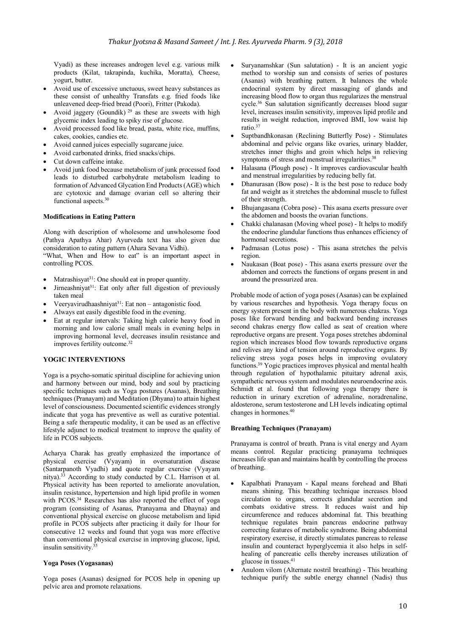Vyadi) as these increases androgen level e.g. various milk products (Kilat, takrapinda, kuchika, Moratta), Cheese, yogurt, butter.

- Avoid use of excessive unctuous, sweet heavy substances as these consist of unhealthy Transfats e.g. fried foods like unleavened deep-fried bread (Poori), Fritter (Pakoda).
- Avoid jaggery (Goundik)  $^{29}$  as these are sweets with high glycemic index leading to spiky rise of glucose.
- Avoid processed food like bread, pasta, white rice, muffins, cakes, cookies, candies etc.
- Avoid canned juices especially sugarcane juice.
- Avoid carbonated drinks, fried snacks/chips.
- Cut down caffeine intake.
- Avoid junk food because metabolism of junk processed food leads to disturbed carbohydrate metabolism leading to formation of Advanced Glycation End Products (AGE) which are cytotoxic and damage ovarian cell so altering their functional aspects.<sup>30</sup>

## **Modifications in Eating Pattern**

Along with description of wholesome and unwholesome food (Pathya Apathya Ahar) Ayurveda text has also given due consideration to eating pattern (Ahara Sevana Vidhi).

"What, When and How to eat" is an important aspect in controlling PCOS.

- Matrashisyat $31$ : One should eat in proper quantity.
- Jirneashniyat $3^1$ : Eat only after full digestion of previously taken meal
- Veeryavirudhaashniyat<sup>31</sup>: Eat non antagonistic food.
- Always eat easily digestible food in the evening.
- Eat at regular intervals: Taking high calorie heavy food in morning and low calorie small meals in evening helps in improving hormonal level, decreases insulin resistance and improves fertility outcome.<sup>32</sup>

## **YOGIC INTERVENTIONS**

Yoga is a psycho-somatic spiritual discipline for achieving union and harmony between our mind, body and soul by practicing specific techniques such as Yoga postures (Asanas), Breathing techniques (Pranayam) and Meditation (Dhyana) to attain highest level of consciousness. Documented scientific evidences strongly indicate that yoga has preventive as well as curative potential. Being a safe therapeutic modality, it can be used as an effective lifestyle adjunct to medical treatment to improve the quality of life in PCOS subjects.

Acharya Charak has greatly emphasized the importance of physical exercise (Vyayam) in oversaturation disease (Santarpanoth Vyadhi) and quote regular exercise (Vyayam nitya). <sup>33</sup> According to study conducted by C.L. Harrison et al. Physical activity has been reported to ameliorate anovulation, insulin resistance, hypertension and high lipid profile in women with PCOS.<sup>34</sup> Researches has also reported the effect of yoga program (consisting of Asanas, Pranayama and Dhayna) and conventional physical exercise on glucose metabolism and lipid profile in PCOS subjects after practicing it daily for 1hour for consecutive 12 weeks and found that yoga was more effective than conventional physical exercise in improving glucose, lipid, insulin sensitivity.

## **Yoga Poses (Yogasanas)**

Yoga poses (Asanas) designed for PCOS help in opening up pelvic area and promote relaxations.

- Suryanamshkar (Sun salutation) It is an ancient yogic method to worship sun and consists of series of postures (Asanas) with breathing pattern. It balances the whole endocrinal system by direct massaging of glands and increasing blood flow to organ thus regularizes the menstrual cycle.36 Sun salutation significantly decreases blood sugar level, increases insulin sensitivity, improves lipid profile and results in weight reduction, improved BMI, low waist hip ratio. 37
- Suptbandhkonasan (Reclining Butterfly Pose) Stimulates abdominal and pelvic organs like ovaries, urinary bladder, stretches inner thighs and groin which helps in relieving symptoms of stress and menstrual irregularities.<sup>38</sup>
- Halasana (Plough pose) It improves cardiovascular health and menstrual irregularities by reducing belly fat.
- Dhanurasan (Bow pose) It is the best pose to reduce body fat and weight as it stretches the abdominal muscle to fullest of their strength.
- Bhujangasana (Cobra pose) This asana exerts pressure over the abdomen and boosts the ovarian functions.
- Chakki chalanasan (Moving wheel pose) It helps to modify the endocrine glandular functions thus enhances efficiency of hormonal secretions.
- Padmasan (Lotus pose) This asana stretches the pelvis region.
- Naukasan (Boat pose) This asana exerts pressure over the abdomen and corrects the functions of organs present in and around the pressurized area.

Probable mode of action of yoga poses (Asanas) can be explained by various researches and hypothesis. Yoga therapy focus on energy system present in the body with numerous chakras. Yoga poses like forward bending and backward bending increases second chakras energy flow called as seat of creation where reproductive organs are present. Yoga poses stretches abdominal region which increases blood flow towards reproductive organs and relives any kind of tension around reproductive organs. By relieving stress yoga poses helps in improving ovulatory functions. <sup>39</sup> Yogic practices improves physical and mental health through regulation of hypothalamic pituitary adrenal axis, sympathetic nervous system and modulates neuroendocrine axis. Schmidt et al. found that following yoga therapy there is reduction in urinary excretion of adrenaline, noradrenaline, aldosterone, serum testosterone and LH levels indicating optimal changes in hormones.<sup>40</sup>

### **Breathing Techniques (Pranayam)**

Pranayama is control of breath. Prana is vital energy and Ayam means control. Regular practicing pranayama techniques increases life span and maintains health by controlling the process of breathing.

- Kapalbhati Pranayam Kapal means forehead and Bhati means shining. This breathing technique increases blood circulation to organs, corrects glandular secretion and combats oxidative stress. It reduces waist and hip circumference and reduces abdominal fat. This breathing technique regulates brain pancreas endocrine pathway correcting features of metabolic syndrome. Being abdominal respiratory exercise, it directly stimulates pancreas to release insulin and counteract hyperglycemia it also helps in selfhealing of pancreatic cells thereby increases utilization of glucose in tissues.41
- Anulom vilom (Alternate nostril breathing) This breathing technique purify the subtle energy channel (Nadis) thus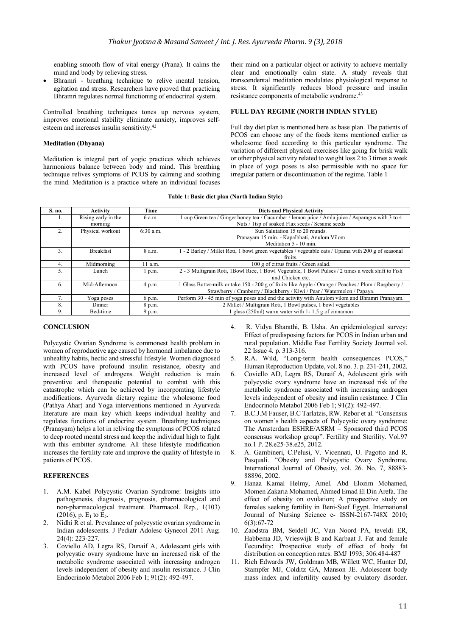enabling smooth flow of vital energy (Prana). It calms the mind and body by relieving stress.

• Bhramri - breathing technique to relive mental tension, agitation and stress. Researchers have proved that practicing Bhramri regulates normal functioning of endocrinal system.

Controlled breathing techniques tones up nervous system, improves emotional stability eliminate anxiety, improves selfesteem and increases insulin sensitivity.42

### **Meditation (Dhyana)**

Meditation is integral part of yogic practices which achieves harmonious balance between body and mind. This breathing technique relives symptoms of PCOS by calming and soothing the mind. Meditation is a practice where an individual focuses

their mind on a particular object or activity to achieve mentally clear and emotionally calm state. A study reveals that transcendental meditation modulates physiological response to stress. It significantly reduces blood pressure and insulin resistance components of metabolic syndrome.43

## **FULL DAY REGIME (NORTH INDIAN STYLE)**

Full day diet plan is mentioned here as base plan. The patients of PCOS can choose any of the foods items mentioned earlier as wholesome food according to this particular syndrome. The variation of different physical exercises like going for brisk walk or other physical activity related to weight loss 2 to 3 times a week in place of yoga poses is also permissible with no space for irregular pattern or discontinuation of the regime. Table 1

| Table 1: Basic diet plan (North Indian Style) |  |  |  |  |
|-----------------------------------------------|--|--|--|--|
|-----------------------------------------------|--|--|--|--|

| S. no.       | <b>Activity</b>     | Time        | <b>Diets and Physical Activity</b>                                                                  |  |
|--------------|---------------------|-------------|-----------------------------------------------------------------------------------------------------|--|
| 1.           | Rising early in the | 6 a.m.      | 1 cup Green tea / Ginger honey tea / Cucumber / lemon juice / Amla juice / Asparagus with 3 to 4    |  |
|              | morning             |             | Nuts / 1tsp of soaked Flax seeds / Sesame seeds                                                     |  |
| $\mathbf{2}$ | Physical workout    | $6:30$ a.m. | Sun Salutation 15 to 20 rounds.                                                                     |  |
|              |                     |             | Pranayam 15 min. - Kapalbhati, Anulom Vilom                                                         |  |
|              |                     |             | Meditation 5 - 10 min.                                                                              |  |
| 3.           | <b>Breakfast</b>    | 8 a.m.      | 1 - 2 Barley / Millet Roti, 1 bowl green vegetables / vegetable oats / Upama with 200 g of seasonal |  |
|              |                     |             | fruits.                                                                                             |  |
| 4.           | Midmorning          | $11$ a.m.   | 100 g of citrus fruits / Green salad.                                                               |  |
| 5.           | Lunch               | 1 p.m.      | 2 - 3 Multigrain Roti, 1Bowl Rice, 1 Bowl Vegetable, 1 Bowl Pulses / 2 times a week shift to Fish   |  |
|              |                     |             | and Chicken etc.                                                                                    |  |
| 6.           | Mid-Afternoon       | 4 p.m.      | Glass Butter-milk or take 150 - 200 g of fruits like Apple / Orange / Peaches / Plum / Raspberry /  |  |
|              |                     |             | Strawberry / Cranberry / Blackberry / Kiwi / Pear / Watermelon / Papaya.                            |  |
|              | Yoga poses          | 6 p.m.      | Perform 30 - 45 min of yoga poses and end the activity with Anulom vilom and Bhramri Pranayam.      |  |
| 8.           | Dinner              | 8 p.m.      | 2 Millet / Multigrain Roti, 1 Bowl pulses, 1 bowl vegetables                                        |  |
| 9.           | Bed-time            | 9 p.m.      | glass (250ml) warm water with $1 - 1.5$ g of cinnamon                                               |  |

# **CONCLUSION**

Polycystic Ovarian Syndrome is commonest health problem in women of reproductive age caused by hormonal imbalance due to unhealthy habits, hectic and stressful lifestyle. Women diagnosed with PCOS have profound insulin resistance, obesity and increased level of androgens. Weight reduction is main preventive and therapeutic potential to combat with this catastrophe which can be achieved by incorporating lifestyle modifications. Ayurveda dietary regime the wholesome food (Pathya Ahar) and Yoga interventions mentioned in Ayurveda literature are main key which keeps individual healthy and regulates functions of endocrine system. Breathing techniques (Pranayam) helps a lot in reliving the symptoms of PCOS related to deep rooted mental stress and keep the individual high to fight with this embitter syndrome. All these lifestyle modification increases the fertility rate and improve the quality of lifestyle in patients of PCOS.

## **REFERENCES**

- 1. A.M. Kabel Polycystic Ovarian Syndrome: Insights into pathogenesis, diagnosis, prognosis, pharmacological and non-pharmacological treatment. Pharmacol. Rep., 1(103)  $(2016)$ , p.  $E_1$  to  $E_5$ .
- 2. Nidhi R et al. Prevalance of polycystic ovarian syndrome in Indian adolescents. J Pediatr Adolesc Gynecol 2011 Aug; 24(4): 223-227.
- 3. Coviello AD, Legra RS, Dunaif A, Adolescent girls with polycystic ovary syndrome have an increased risk of the metabolic syndrome associated with increasing androgen levels independent of obesity and insulin resistance. J Clin Endocrinolo Metabol 2006 Feb 1; 91(2): 492-497.
- 4. R. Vidya Bharathi, B. Usha. An epidemiological survey: Effect of predisposing factors for PCOS in Indian urban and rural population. Middle East Fertility Society Journal vol. 22 Issue 4. p. 313-316.
- 5. R.A. Wild, "Long-term health consequences PCOS," Human Reproduction Update, vol. 8 no. 3. p. 231-241, 2002.
- 6. Coviello AD, Legra RS, Dunaif A, Adolescent girls with polycystic ovary syndrome have an increased risk of the metabolic syndrome associated with increasing androgen levels independent of obesity and insulin resistance. J Clin Endocrinolo Metabol 2006 Feb 1; 91(2): 492-497.
- 7. B.C.J.M Fauser, B.C Tarlatzis, RW. Rebor et al. "Consensus on women's health aspects of Polycystic ovary syndrome: The Amsterdam ESHRE/ASRM – Sponsored third PCOS consensus workshop group". Fertility and Sterility. Vol.97 no.1 P. 28.e25-38.e25, 2012.
- 8. A. Gambineri, C.Pelusi, V. Vicennati, U. Pagotto and R. Pasquali. "Obesity and Polycystic Ovary Syndrome. International Journal of Obesity, vol. 26. No. 7, 88883- 88896, 2002.
- 9. Hanaa Kamal Helmy, Amel. Abd Elozim Mohamed, Momen Zakaria Mohamed, Ahmed Emad El Din Arefa. The effect of obesity on ovulation; A prospective study on females seeking fertility in Beni-Suef Egypt. International Journal of Nursing Science e- ISSN-2167-748X 2010; 6(3):67-72
- 10. Zaodstra BM, Seidell JC, Van Noord PA, teveldi ER, Habbema JD, Vrieswijk B and Karbaat J. Fat and female Fecundity: Prospective study of effect of body fat distribution on conception rates. BMJ 1993; 306:484-487
- 11. Rich Edwards JW, Goldman MB, Willett WC, Hunter DJ, Stampfer MJ, Colditz GA, Manson JE. Adolescent body mass index and infertility caused by ovulatory disorder.